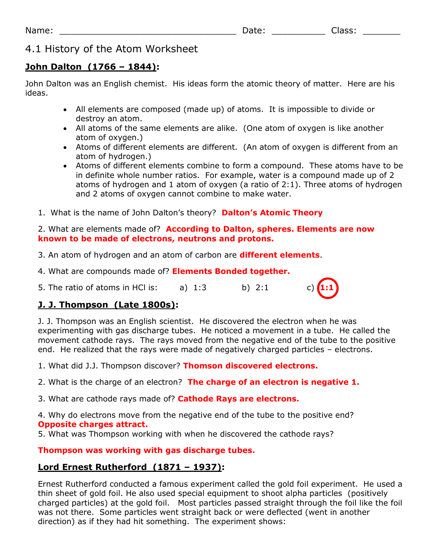# 4.1 History of the Atom Worksheet

# **John Dalton (1766 – 1844):**

John Dalton was an English chemist. His ideas form the atomic theory of matter. Here are his ideas.

- All elements are composed (made up) of atoms. It is impossible to divide or destroy an atom.
- All atoms of the same elements are alike. (One atom of oxygen is like another atom of oxygen.)
- Atoms of different elements are different. (An atom of oxygen is different from an atom of hydrogen.)
- Atoms of different elements combine to form a compound. These atoms have to be in definite whole number ratios. For example, water is a compound made up of 2 atoms of hydrogen and 1 atom of oxygen (a ratio of 2:1). Three atoms of hydrogen and 2 atoms of oxygen cannot combine to make water.
- 1. What is the name of John Dalton's theory? **Dalton's Atomic Theory**

### 2. What are elements made of? **According to Dalton, spheres. Elements are now known to be made of electrons, neutrons and protons.**

- 3. An atom of hydrogen and an atom of carbon are **different elements**.
- 4. What are compounds made of? **Elements Bonded together.**
- 5. The ratio of atoms in HCl is: a) 1:3 b) 2:1 c) **1:1**

# **J. J. Thompson (Late 1800s):**

J. J. Thompson was an English scientist. He discovered the electron when he was experimenting with gas discharge tubes. He noticed a movement in a tube. He called the movement cathode rays. The rays moved from the negative end of the tube to the positive end. He realized that the rays were made of negatively charged particles – electrons.

1. What did J.J. Thompson discover? **Thomson discovered electrons.** 

- 2. What is the charge of an electron? **The charge of an electron is negative 1.**
- 3. What are cathode rays made of? **Cathode Rays are electrons.**

4. Why do electrons move from the negative end of the tube to the positive end? **Opposite charges attract.** 

5. What was Thompson working with when he discovered the cathode rays?

## **Thompson was working with gas discharge tubes.**

# **Lord Ernest Rutherford (1871 – 1937):**

Ernest Rutherford conducted a famous experiment called the gold foil experiment. He used a thin sheet of gold foil. He also used special equipment to shoot alpha particles (positively charged particles) at the gold foil. Most particles passed straight through the foil like the foil was not there. Some particles went straight back or were deflected (went in another direction) as if they had hit something. The experiment shows: